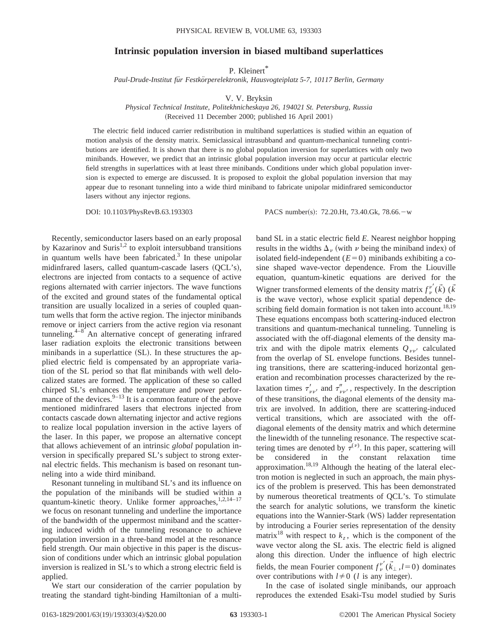## **Intrinsic population inversion in biased multiband superlattices**

P. Kleinert\*

*Paul-Drude-Institut fu¨r Festko¨rperelektronik, Hausvogteiplatz 5-7, 10117 Berlin, Germany*

V. V. Bryksin

*Physical Technical Institute, Politekhnicheskaya 26, 194021 St. Petersburg, Russia* (Received 11 December 2000; published 16 April 2001)

The electric field induced carrier redistribution in multiband superlattices is studied within an equation of motion analysis of the density matrix. Semiclassical intrasubband and quantum-mechanical tunneling contributions are identified. It is shown that there is no global population inversion for superlattices with only two minibands. However, we predict that an intrinsic global population inversion may occur at particular electric field strengths in superlattices with at least three minibands. Conditions under which global population inversion is expected to emerge are discussed. It is proposed to exploit the global population inversion that may appear due to resonant tunneling into a wide third miniband to fabricate unipolar midinfrared semiconductor lasers without any injector regions.

DOI: 10.1103/PhysRevB.63.193303 PACS number(s): 72.20.Ht, 73.40.Gk, 78.66. - w

Recently, semiconductor lasers based on an early proposal by Kazarinov and Suris<sup>1,2</sup> to exploit intersubband transitions in quantum wells have been fabricated. $3$  In these unipolar midinfrared lasers, called quantum-cascade lasers (QCL's), electrons are injected from contacts to a sequence of active regions alternated with carrier injectors. The wave functions of the excited and ground states of the fundamental optical transition are usually localized in a series of coupled quantum wells that form the active region. The injector minibands remove or inject carriers from the active region via resonant tunneling. $4-8$  An alternative concept of generating infrared laser radiation exploits the electronic transitions between minibands in a superlattice (SL). In these structures the applied electric field is compensated by an appropriate variation of the SL period so that flat minibands with well delocalized states are formed. The application of these so called chirped SL's enhances the temperature and power performance of the devices. $9-13$  It is a common feature of the above mentioned midinfrared lasers that electrons injected from contacts cascade down alternating injector and active regions to realize local population inversion in the active layers of the laser. In this paper, we propose an alternative concept that allows achievement of an intrinsic *global* population inversion in specifically prepared SL's subject to strong external electric fields. This mechanism is based on resonant tunneling into a wide third miniband.

Resonant tunneling in multiband SL's and its influence on the population of the minibands will be studied within a quantum-kinetic theory. Unlike former approaches,  $1,2,14-17$ we focus on resonant tunneling and underline the importance of the bandwidth of the uppermost miniband and the scattering induced width of the tunneling resonance to achieve population inversion in a three-band model at the resonance field strength. Our main objective in this paper is the discussion of conditions under which an intrinsic global population inversion is realized in SL's to which a strong electric field is applied.

We start our consideration of the carrier population by treating the standard tight-binding Hamiltonian of a multi-

band SL in a static electric field *E*. Nearest neighbor hopping results in the widths  $\Delta_{\nu}$  (with  $\nu$  being the miniband index) of isolated field-independent  $(E=0)$  minibands exhibiting a cosine shaped wave-vector dependence. From the Liouville equation, quantum-kinetic equations are derived for the Wigner transformed elements of the density matrix  $f^{\nu'}_{\nu}(\vec{k})$  ( $\vec{k}$ ) is the wave vector), whose explicit spatial dependence describing field domain formation is not taken into account.<sup>18,19</sup> These equations encompass both scattering-induced electron transitions and quantum-mechanical tunneling. Tunneling is associated with the off-diagonal elements of the density matrix and with the dipole matrix elements  $Q_{\nu\nu}$  calculated from the overlap of SL envelope functions. Besides tunneling transitions, there are scattering-induced horizontal generation and recombination processes characterized by the relaxation times  $\tau'_{\nu\nu'}$  and  $\tau''_{\nu\nu'}$ , respectively. In the description of these transitions, the diagonal elements of the density matrix are involved. In addition, there are scattering-induced vertical transitions, which are associated with the offdiagonal elements of the density matrix and which determine the linewidth of the tunneling resonance. The respective scattering times are denoted by  $\tau^{(\nu)}$ . In this paper, scattering will be considered in the constant relaxation time approximation.<sup>18,19</sup> Although the heating of the lateral electron motion is neglected in such an approach, the main physics of the problem is preserved. This has been demonstrated by numerous theoretical treatments of QCL's. To stimulate the search for analytic solutions, we transform the kinetic equations into the Wannier-Stark (WS) ladder representation by introducing a Fourier series representation of the density matrix<sup>18</sup> with respect to  $k_z$ , which is the component of the wave vector along the SL axis. The electric field is aligned along this direction. Under the influence of high electric fields, the mean Fourier component  $f_{\nu}^{\nu'}(\vec{k}_{\perp},l=0)$  dominates over contributions with  $l \neq 0$  (*l* is any integer).

In the case of isolated single minibands, our approach reproduces the extended Esaki-Tsu model studied by Suris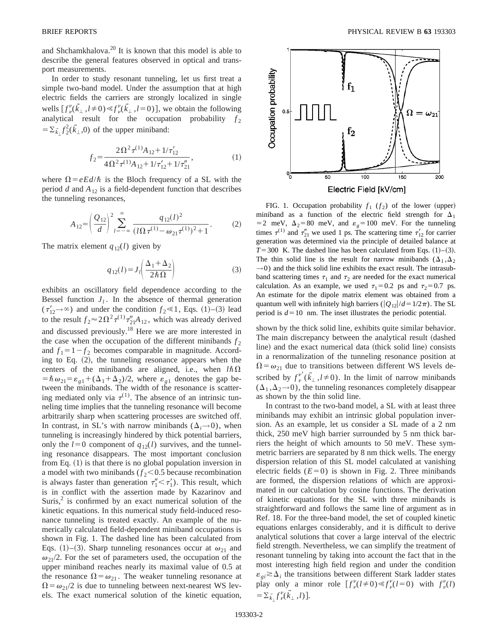and Shchamkhalova.20 It is known that this model is able to describe the general features observed in optical and transport measurements.

In order to study resonant tunneling, let us first treat a simple two-band model. Under the assumption that at high electric fields the carriers are strongly localized in single wells  $[f^{\nu}_{\nu}(\vec{k}_{\perp}, l \neq 0) \ll f^{\nu}_{\nu}(\vec{k}_{\perp}, l=0)]$ , we obtain the following analytical result for the occupation probability  $f_2$  $=\sum_{\vec{k}\perp} f_2^2(\vec{k}_\perp,0)$  of the upper miniband:

$$
f_2 = \frac{2\Omega^2 \tau^{(1)} A_{12} + 1/\tau'_{12}}{4\Omega^2 \tau^{(1)} A_{12} + 1/\tau'_{12} + 1/\tau''_{21}},
$$
(1)

where  $\Omega = eEd/\hbar$  is the Bloch frequency of a SL with the period  $d$  and  $A_{12}$  is a field-dependent function that describes the tunneling resonances,

$$
A_{12} = \left(\frac{Q_{12}}{d}\right)^2 \sum_{l=-\infty}^{\infty} \frac{q_{12}(l)^2}{(l\Omega \tau^{(1)} - \omega_{21} \tau^{(1)})^2 + 1}.
$$
 (2)

The matrix element  $q_{12}(l)$  given by

$$
q_{12}(l) = J_l \left( \frac{\Delta_1 + \Delta_2}{2\hbar \Omega} \right) \tag{3}
$$

exhibits an oscillatory field dependence according to the Bessel function  $J_l$ . In the absence of thermal generation  $(\tau'_{12} \rightarrow \infty)$  and under the condition  $f_2 \ll 1$ , Eqs. (1)–(3) lead to the result  $f_2 \approx 2\Omega^2 \tau^{(1)} \tau_{21}'' A_{12}$ , which was already derived and discussed previously.<sup>18</sup> Here we are more interested in the case when the occupation of the different minibands  $f_2$ and  $f_1 = 1 - f_2$  becomes comparable in magnitude. According to Eq.  $(2)$ , the tunneling resonance appears when the centers of the minibands are aligned, i.e., when  $l\hbar\Omega$  $= \hbar \omega_{21} = \varepsilon_{g1} + (\Delta_1 + \Delta_2)/2$ , where  $\varepsilon_{g1}$  denotes the gap between the minibands. The width of the resonance is scattering mediated only via  $\tau^{(1)}$ . The absence of an intrinsic tunneling time implies that the tunneling resonance will become arbitrarily sharp when scattering processes are switched off. In contrast, in SL's with narrow minibands  $(\Delta_i \rightarrow 0)$ , when tunneling is increasingly hindered by thick potential barriers, only the  $l=0$  component of  $q_{12}(l)$  survives, and the tunneling resonance disappears. The most important conclusion from Eq.  $(1)$  is that there is no global population inversion in a model with two minibands  $(f_2<0.5$  because recombination is always faster than generation  $\tau''_1 < \tau'_1$ ). This result, which is in conflict with the assertion made by Kazarinov and Suris, $2$  is confirmed by an exact numerical solution of the kinetic equations. In this numerical study field-induced resonance tunneling is treated exactly. An example of the numerically calculated field-dependent miniband occupations is shown in Fig. 1. The dashed line has been calculated from Eqs. (1)–(3). Sharp tunneling resonances occur at  $\omega_{21}$  and  $\omega_{21}/2$ . For the set of parameters used, the occupation of the upper miniband reaches nearly its maximal value of 0.5 at the resonance  $\Omega = \omega_{21}$ . The weaker tunneling resonance at  $\Omega = \omega_{21}/2$  is due to tunneling between next-nearest WS levels. The exact numerical solution of the kinetic equation,



FIG. 1. Occupation probability  $f_1$  ( $f_2$ ) of the lower (upper) miniband as a function of the electric field strength for  $\Delta_1$ = 2 meV,  $\Delta_2$ =80 meV, and  $\varepsilon_g$ =100 meV. For the tunneling times  $\tau^{(1)}$  and  $\tau_{21}^{\prime\prime}$  we used 1 ps. The scattering time  $\tau_{12}^{\prime}$  for carrier generation was determined via the principle of detailed balance at  $T=300$  K. The dashed line has been calculated from Eqs.  $(1)-(3)$ . The thin solid line is the result for narrow minibands  $(\Delta_1, \Delta_2)$  $\rightarrow$ 0) and the thick solid line exhibits the exact result. The intrasubband scattering times  $\tau_1$  and  $\tau_2$  are needed for the exact numerical calculation. As an example, we used  $\tau_1 = 0.2$  ps and  $\tau_2 = 0.7$  ps. An estimate for the dipole matrix element was obtained from a quantum well with infinitely high barriers ( $|Q_{12}|/d=1/2\pi$ ). The SL period is  $d=10$  nm. The inset illustrates the periodic potential.

shown by the thick solid line, exhibits quite similar behavior. The main discrepancy between the analytical result (dashed line) and the exact numerical data (thick solid line) consists in a renormalization of the tunneling resonance position at  $\Omega = \omega_{21}$  due to transitions between different WS levels described by  $f^{\nu'}_{\nu}(\vec{k}_{\perp}, l \neq 0)$ . In the limit of narrow minibands  $(\Delta_1, \Delta_2 \rightarrow 0)$ , the tunneling resonances completely disappear as shown by the thin solid line.

In contrast to the two-band model, a SL with at least three minibands may exhibit an intrinsic global population inversion. As an example, let us consider a SL made of a 2 nm thick, 250 meV high barrier surrounded by 5 nm thick barriers the height of which amounts to 50 meV. These symmetric barriers are separated by 8 nm thick wells. The energy dispersion relation of this SL model calculated at vanishing electric fields  $(E=0)$  is shown in Fig. 2. Three minibands are formed, the dispersion relations of which are approximated in our calculation by cosine functions. The derivation of kinetic equations for the SL with three minibands is straightforward and follows the same line of argument as in Ref. 18. For the three-band model, the set of coupled kinetic equations enlarges considerably, and it is difficult to derive analytical solutions that cover a large interval of the electric field strength. Nevertheless, we can simplify the treatment of resonant tunneling by taking into account the fact that in the most interesting high field region and under the condition  $\varepsilon_{qi} \gtrsim \Delta_i$  the transitions between different Stark ladder states play only a minor role  $\left[f_{\nu}^{\nu}(l \neq 0) \ll f_{\nu}^{\nu}(l=0)\right]$  with  $f_{\nu}^{\nu}(l)$  $=\sum_{\vec{k}_{\perp}}f^{\nu}_{\nu}(\vec{k}_{\perp},l).$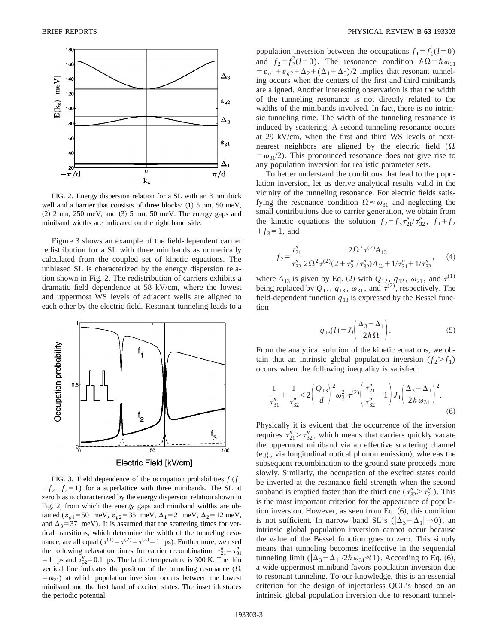

FIG. 2. Energy dispersion relation for a SL with an 8 nm thick well and a barrier that consists of three blocks:  $(1)$  5 nm, 50 meV,  $(2)$  2 nm, 250 meV, and  $(3)$  5 nm, 50 meV. The energy gaps and miniband widths are indicated on the right hand side.

Figure 3 shows an example of the field-dependent carrier redistribution for a SL with three minibands as numerically calculated from the coupled set of kinetic equations. The unbiased SL is characterized by the energy dispersion relation shown in Fig. 2. The redistribution of carriers exhibits a dramatic field dependence at 58 kV/cm, where the lowest and uppermost WS levels of adjacent wells are aligned to each other by the electric field. Resonant tunneling leads to a



FIG. 3. Field dependence of the occupation probabilities  $f_i(f_1)$  $f_1 + f_2 + f_3 = 1$  for a superlattice with three minibands. The SL at zero bias is characterized by the energy dispersion relation shown in Fig. 2, from which the energy gaps and miniband widths are obtained ( $\varepsilon_{g1}$ =50 meV,  $\varepsilon_{g2}$ =35 meV,  $\Delta_1$ =2 meV,  $\Delta_2$ =12 meV, and  $\Delta_3$ =37 meV). It is assumed that the scattering times for vertical transitions, which determine the width of the tunneling resonance, are all equal ( $\tau^{(1)} = \tau^{(2)} = \tau^{(3)} = 1$  ps). Furthermore, we used the following relaxation times for carrier recombination:  $\tau''_{21} = \tau''_{31}$  $=1$  ps and  $\tau''_{32} = 0.1$  ps. The lattice temperature is 300 K. The thin vertical line indicates the position of the tunneling resonance  $(\Omega)$  $(\omega_{31})$  at which population inversion occurs between the lowest miniband and the first band of excited states. The inset illustrates the periodic potential.

population inversion between the occupations  $f_1 = f_1^1(l=0)$ and  $f_2 = f_2^2(l=0)$ . The resonance condition  $\hbar\Omega = \hbar \omega_{31}$  $= \varepsilon_{g1} + \varepsilon_{g2} + \Delta_2 + (\Delta_1 + \Delta_3)/2$  implies that resonant tunneling occurs when the centers of the first and third minibands are aligned. Another interesting observation is that the width of the tunneling resonance is not directly related to the widths of the minibands involved. In fact, there is no intrinsic tunneling time. The width of the tunneling resonance is induced by scattering. A second tunneling resonance occurs at 29 kV/cm, when the first and third WS levels of nextnearest neighbors are aligned by the electric field  $(\Omega)$  $=\omega_{31}/2$ ). This pronounced resonance does not give rise to any population inversion for realistic parameter sets.

To better understand the conditions that lead to the population inversion, let us derive analytical results valid in the vicinity of the tunneling resonance. For electric fields satisfying the resonance condition  $\Omega \approx \omega_{31}$  and neglecting the small contributions due to carrier generation, we obtain from the kinetic equations the solution  $f_2 = f_3 \tau_{21}^{\prime\prime} / \tau_{32}^{\prime\prime}$ ,  $f_1 + f_2$  $f_3 = 1$ , and

$$
f_2 = \frac{\tau_{21}''}{\tau_{32}''} \frac{2\Omega^2 \tau^{(2)} A_{13}}{2\Omega^2 \tau^{(2)} (2 + \tau_{21}'' / \tau_{32}'') A_{13} + 1/\tau_{31}'' + 1/\tau_{32}''},
$$
 (4)

where  $A_{13}$  is given by Eq. (2) with  $Q_{12}$ ,  $q_{12}$ ,  $\omega_{21}$ , and  $\tau^{(1)}$ being replaced by  $Q_{13}$ ,  $q_{13}$ ,  $\omega_{31}$ , and  $\tau^{(2)}$ , respectively. The field-dependent function  $q_{13}$  is expressed by the Bessel function

$$
q_{13}(l) = J_l \left( \frac{\Delta_3 - \Delta_1}{2\hbar \Omega} \right). \tag{5}
$$

From the analytical solution of the kinetic equations, we obtain that an intrinsic global population inversion  $(f_2 > f_1)$ occurs when the following inequality is satisfied:

$$
\frac{1}{\tau_{31}''} + \frac{1}{\tau_{32}''} < 2\left(\frac{Q_{13}}{d}\right)^2 \omega_{31}^2 \tau^{(2)} \left(\frac{\tau_{21}''}{\tau_{32}''} - 1\right) J_1 \left(\frac{\Delta_3 - \Delta_1}{2\hbar \omega_{31}}\right)^2. \tag{6}
$$

Physically it is evident that the occurrence of the inversion requires  $\tau_{21}'' > \tau_{32}''$ , which means that carriers quickly vacate the uppermost miniband via an effective scattering channel (e.g., via longitudinal optical phonon emission), whereas the subsequent recombination to the ground state proceeds more slowly. Similarly, the occupation of the excited states could be inverted at the resonance field strength when the second subband is emptied faster than the third one ( $\tau''_{32} > \tau''_{21}$ ). This is the most important criterion for the appearance of population inversion. However, as seen from Eq.  $(6)$ , this condition is not sufficient. In narrow band SL's ( $|\Delta_3 - \Delta_1| \rightarrow 0$ ), an intrinsic global population inversion cannot occur because the value of the Bessel function goes to zero. This simply means that tunneling becomes ineffective in the sequential tunneling limit  $(|\Delta_3 - \Delta_1|/2\hbar \omega_{31} \le 1)$ . According to Eq. (6), a wide uppermost miniband favors population inversion due to resonant tunneling. To our knowledge, this is an essential criterion for the design of injectorless QCL's based on an intrinsic global population inversion due to resonant tunnel